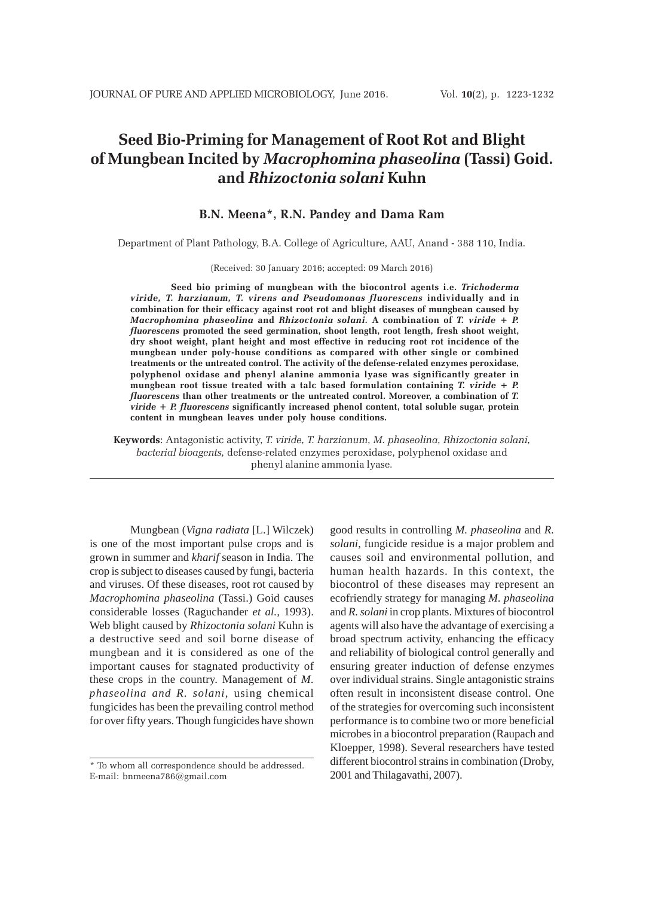# **Seed Bio-Priming for Management of Root Rot and Blight of Mungbean Incited by** *Macrophomina phaseolina* **(Tassi) Goid. and** *Rhizoctonia solani* **Kuhn**

# **B.N. Meena\*, R.N. Pandey and Dama Ram**

Department of Plant Pathology, B.A. College of Agriculture, AAU, Anand - 388 110, India.

(Received: 30 January 2016; accepted: 09 March 2016)

**Seed bio priming of mungbean with the biocontrol agents i.e.** *Trichoderma viride, T. harzianum, T. virens and Pseudomonas fluorescens* **individually and in combination for their efficacy against root rot and blight diseases of mungbean caused by** *Macrophomina phaseolina* **and** *Rhizoctonia solani.* **A combination of** *T. viride + P. fluorescens* **promoted the seed germination, shoot length, root length, fresh shoot weight, dry shoot weight, plant height and most effective in reducing root rot incidence of the mungbean under poly-house conditions as compared with other single or combined treatments or the untreated control. The activity of the defense-related enzymes peroxidase, polyphenol oxidase and phenyl alanine ammonia lyase was significantly greater in mungbean root tissue treated with a talc based formulation containing** *T. viride + P. fluorescens* **than other treatments or the untreated control. Moreover, a combination of** *T. viride + P. fluorescens* **significantly increased phenol content, total soluble sugar, protein content in mungbean leaves under poly house conditions.**

**Keywords**: Antagonistic activity, *T. viride, T. harzianum, M. phaseolina, Rhizoctonia solani, bacterial bioagents,* defense-related enzymes peroxidase, polyphenol oxidase and phenyl alanine ammonia lyase*.*

Mungbean (*Vigna radiata* [L.] Wilczek) is one of the most important pulse crops and is grown in summer and *kharif* season in India. The crop is subject to diseases caused by fungi, bacteria and viruses. Of these diseases, root rot caused by *Macrophomina phaseolina* (Tassi.) Goid causes considerable losses (Raguchander *et al.,* 1993). Web blight caused by *Rhizoctonia solani* Kuhn is a destructive seed and soil borne disease of mungbean and it is considered as one of the important causes for stagnated productivity of these crops in the country. Management of *M. phaseolina and R. solani,* using chemical fungicides has been the prevailing control method for over fifty years. Though fungicides have shown

good results in controlling *M. phaseolina* and *R. solani*, fungicide residue is a major problem and causes soil and environmental pollution, and human health hazards. In this context, the biocontrol of these diseases may represent an ecofriendly strategy for managing *M. phaseolina* and *R. solani* in crop plants. Mixtures of biocontrol agents will also have the advantage of exercising a broad spectrum activity, enhancing the efficacy and reliability of biological control generally and ensuring greater induction of defense enzymes over individual strains. Single antagonistic strains often result in inconsistent disease control. One of the strategies for overcoming such inconsistent performance is to combine two or more beneficial microbes in a biocontrol preparation (Raupach and Kloepper, 1998). Several researchers have tested different biocontrol strains in combination (Droby, 2001 and Thilagavathi, 2007).

<sup>\*</sup> To whom all correspondence should be addressed. E-mail: bnmeena786@gmail.com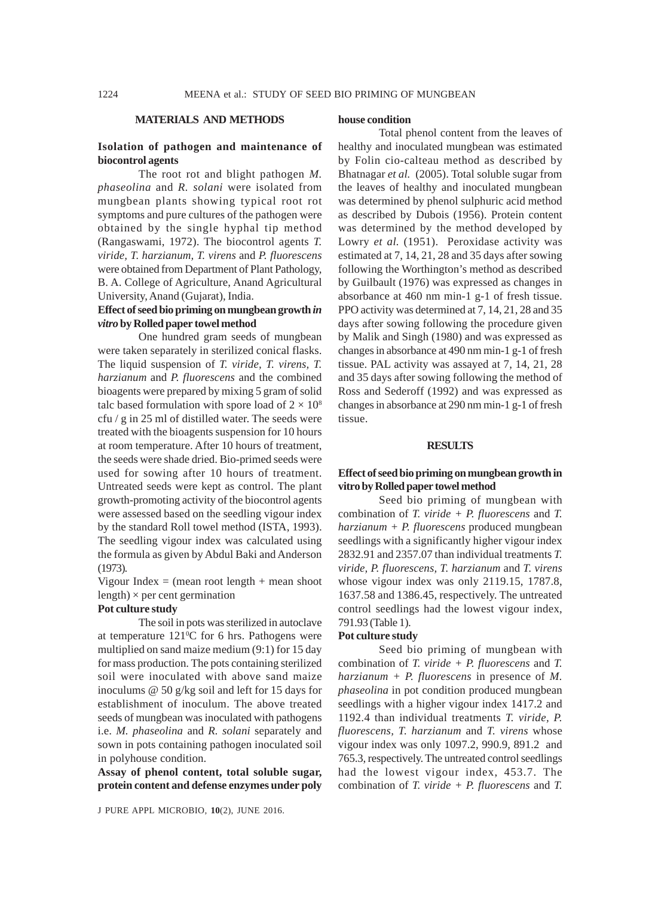#### **MATERIALS AND METHODS**

#### **Isolation of pathogen and maintenance of biocontrol agents**

The root rot and blight pathogen *M. phaseolina* and *R. solani* were isolated from mungbean plants showing typical root rot symptoms and pure cultures of the pathogen were obtained by the single hyphal tip method (Rangaswami, 1972). The biocontrol agents *T. viride, T. harzianum, T. virens* and *P. fluorescens* were obtained from Department of Plant Pathology, B. A. College of Agriculture, Anand Agricultural University, Anand (Gujarat), India.

#### **Effect of seed bio priming on mungbean growth** *in vitro* **by Rolled paper towel method**

One hundred gram seeds of mungbean were taken separately in sterilized conical flasks. The liquid suspension of *T. viride, T. virens, T. harzianum* and *P. fluorescens* and the combined bioagents were prepared by mixing 5 gram of solid talc based formulation with spore load of  $2 \times 10^8$ cfu / g in 25 ml of distilled water. The seeds were treated with the bioagents suspension for 10 hours at room temperature. After 10 hours of treatment, the seeds were shade dried. Bio-primed seeds were used for sowing after 10 hours of treatment. Untreated seeds were kept as control. The plant growth-promoting activity of the biocontrol agents were assessed based on the seedling vigour index by the standard Roll towel method (ISTA, 1993). The seedling vigour index was calculated using the formula as given by Abdul Baki and Anderson (1973).

Vigour Index  $=$  (mean root length  $+$  mean shoot length)  $\times$  per cent germination

#### **Pot culture study**

The soil in pots was sterilized in autoclave at temperature  $121\textdegree C$  for 6 hrs. Pathogens were multiplied on sand maize medium (9:1) for 15 day for mass production. The pots containing sterilized soil were inoculated with above sand maize inoculums @ 50 g/kg soil and left for 15 days for establishment of inoculum. The above treated seeds of mungbean was inoculated with pathogens i.e. *M. phaseolina* and *R. solani* separately and sown in pots containing pathogen inoculated soil in polyhouse condition.

**Assay of phenol content, total soluble sugar, protein content and defense enzymes under poly**

#### **house condition**

Total phenol content from the leaves of healthy and inoculated mungbean was estimated by Folin cio-calteau method as described by Bhatnagar *et al.* (2005). Total soluble sugar from the leaves of healthy and inoculated mungbean was determined by phenol sulphuric acid method as described by Dubois (1956). Protein content was determined by the method developed by Lowry *et al.* (1951). Peroxidase activity was estimated at 7, 14, 21, 28 and 35 days after sowing following the Worthington's method as described by Guilbault (1976) was expressed as changes in absorbance at 460 nm min-1 g-1 of fresh tissue. PPO activity was determined at 7, 14, 21, 28 and 35 days after sowing following the procedure given by Malik and Singh (1980) and was expressed as changes in absorbance at 490 nm min-1 g-1 of fresh tissue. PAL activity was assayed at 7, 14, 21, 28 and 35 days after sowing following the method of Ross and Sederoff (1992) and was expressed as changes in absorbance at 290 nm min-1 g-1 of fresh tissue.

#### **RESULTS**

## **Effect of seed bio priming on mungbean growth in vitro by Rolled paper towel method**

Seed bio priming of mungbean with combination of *T. viride + P. fluorescens* and *T. harzianum + P. fluorescens* produced mungbean seedlings with a significantly higher vigour index 2832.91 and 2357.07 than individual treatments *T. viride, P. fluorescens, T. harzianum* and *T. virens* whose vigour index was only 2119.15, 1787.8, 1637.58 and 1386.45, respectively. The untreated control seedlings had the lowest vigour index, 791.93 (Table 1).

#### **Pot culture study**

Seed bio priming of mungbean with combination of *T. viride + P. fluorescens* and *T. harzianum + P. fluorescens* in presence of *M. phaseolina* in pot condition produced mungbean seedlings with a higher vigour index 1417.2 and 1192.4 than individual treatments *T. viride, P. fluorescens, T. harzianum* and *T. virens* whose vigour index was only 1097.2, 990.9, 891.2 and 765.3, respectively. The untreated control seedlings had the lowest vigour index, 453.7. The combination of *T. viride + P. fluorescens* and *T.*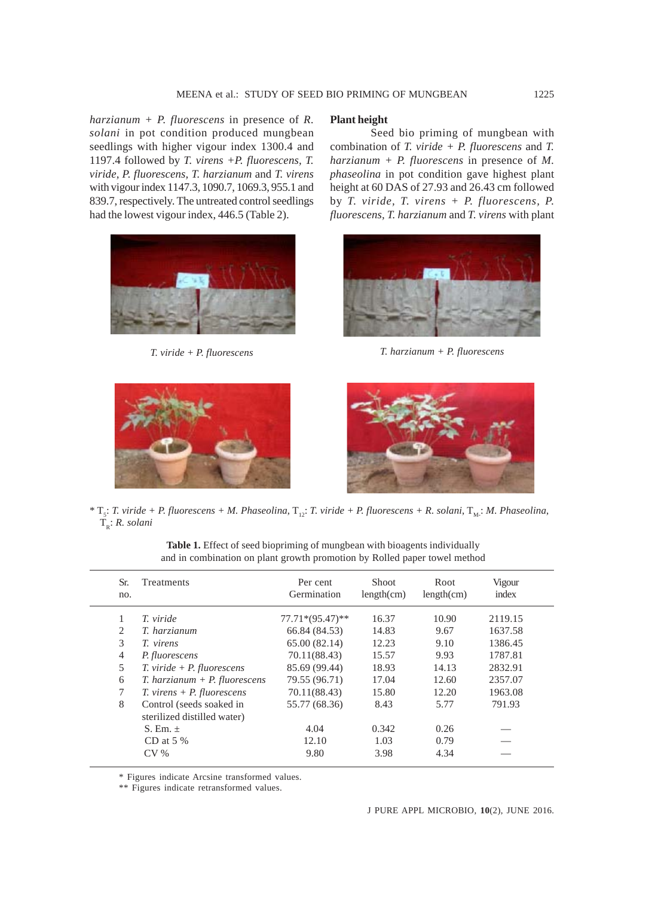*harzianum + P. fluorescens* in presence of *R. solani* in pot condition produced mungbean seedlings with higher vigour index 1300.4 and 1197.4 followed by *T. virens +P. fluorescens, T. viride, P. fluorescens, T. harzianum* and *T. virens* with vigour index 1147.3, 1090.7, 1069.3, 955.1 and 839.7, respectively. The untreated control seedlings had the lowest vigour index, 446.5 (Table 2).



#### **Plant height**

Seed bio priming of mungbean with combination of *T. viride + P. fluorescens* and *T. harzianum + P. fluorescens* in presence of *M. phaseolina* in pot condition gave highest plant height at 60 DAS of 27.93 and 26.43 cm followed by *T. viride, T. virens + P. fluorescens, P. fluorescens, T. harzianum* and *T. virens* with plant



*T. viride + P. fluorescens T. harzianum + P. fluorescens*





\*  $T_s$ : *T. viride + P. fluorescens + M. Phaseolina*,  $T_{12}$ : *T. viride + P. fluorescens + R. solani*,  $T_{M_s}$ : *M. Phaseolina*,  $\tilde{T}_{R}$ : *R. solani* 

| Sr.<br>no.     | Treatments                                              | Per cent<br>Germination | Shoot<br>length(cm) | Root<br>length(cm) | Vigour<br>index |  |
|----------------|---------------------------------------------------------|-------------------------|---------------------|--------------------|-----------------|--|
| 1              | T. viride                                               | $77.71*(95.47)*$        | 16.37               | 10.90              | 2119.15         |  |
| 2              | T. harzianum                                            | 66.84 (84.53)           | 14.83               | 9.67               | 1637.58         |  |
| 3              | T. virens                                               | 65.00(82.14)            | 12.23               | 9.10               | 1386.45         |  |
| $\overline{4}$ | P. fluorescens                                          | 70.11(88.43)            | 15.57               | 9.93               | 1787.81         |  |
| 5              | $T.$ viride + $P.$ fluorescens                          | 85.69 (99.44)           | 18.93               | 14.13              | 2832.91         |  |
| 6              | $T.$ harzianum + $P.$ fluorescens                       | 79.55 (96.71)           | 17.04               | 12.60              | 2357.07         |  |
| 7              | $T.$ virens + $P.$ fluorescens                          | 70.11(88.43)            | 15.80               | 12.20              | 1963.08         |  |
| 8              | Control (seeds soaked in<br>sterilized distilled water) | 55.77 (68.36)           | 8.43                | 5.77               | 791.93          |  |
|                | S. Em. $\pm$                                            | 4.04                    | 0.342               | 0.26               |                 |  |
|                | CD at $5\%$                                             | 12.10                   | 1.03                | 0.79               |                 |  |
|                | $CV\%$                                                  | 9.80                    | 3.98                | 4.34               |                 |  |
|                |                                                         |                         |                     |                    |                 |  |

Table 1. Effect of seed biopriming of mungbean with bioagents individually and in combination on plant growth promotion by Rolled paper towel method

\* Figures indicate Arcsine transformed values.

\*\* Figures indicate retransformed values.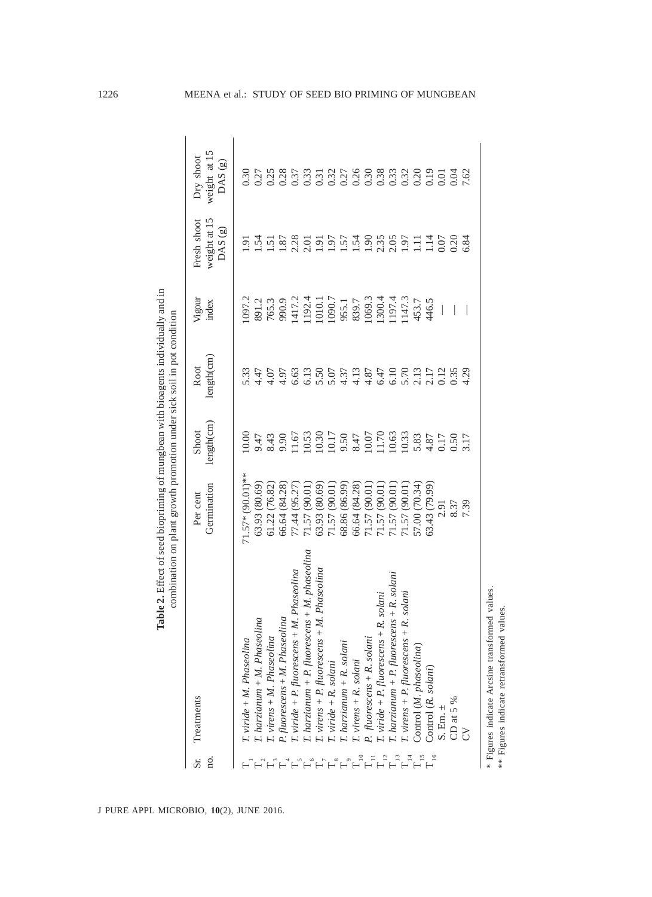|         | Table 2. Effect of seed biopriming of mungbean with bioagents individually and in          | combination on plant growth promotion under sick soil in pot condition |                                                                        |                    |                            |                                        |                                     |
|---------|--------------------------------------------------------------------------------------------|------------------------------------------------------------------------|------------------------------------------------------------------------|--------------------|----------------------------|----------------------------------------|-------------------------------------|
| Ω.<br>ä | Treatments                                                                                 | Germination<br>Per cent                                                | length(cm)<br>Shoot                                                    | length(cm)<br>Root | Vigour<br>index            | weight at 15<br>Fresh shoot<br>DAS(g)  | weight at 15<br>Dry shoot<br>DAS(g) |
|         | T. viride + M. Phaseolina                                                                  | $71.57*(90.01)*$                                                       | 10.00                                                                  | 5.33               | 1097.2                     | 5<br>1                                 | 0.30                                |
|         | T. harzianum + M. Phaseolina                                                               | 63.93 (80.69)                                                          | 9.47                                                                   |                    | 891.2                      | $-54$                                  |                                     |
|         | T. virens + M. Phaseolina                                                                  | 61.22 (76.82)                                                          | 8.43                                                                   |                    | 765.3                      | $\overline{5}$                         | $0.27$<br>0.25                      |
|         | P. fluorescens + M. Phaseolina                                                             | 66.64 (84.28)                                                          | 9.90                                                                   |                    | 990.9<br>1417.2            |                                        | 0.37                                |
|         | $T.$ viride + $P.$ fluorescens + $M.$ Phaseolina                                           | 77.44 (95.27                                                           | 11.67                                                                  |                    |                            | $\frac{1.87}{2.30}$                    |                                     |
|         | $T.$ harzianum + P. fluorescens + M. phaseolina                                            | 71.57 (90.01)                                                          |                                                                        |                    |                            |                                        |                                     |
|         | $T.$ virens + $P.$ fluorescens + $M.$ Phaseolina                                           | 63.93 (80.69)                                                          | $\begin{array}{c} 10.53 \\ 10.30 \\ 10.17 \\ 9.50 \\ 8.47 \end{array}$ |                    | 1192.4<br>1010.1<br>1090.7 | $\overline{1.91}$                      |                                     |
|         | $T.$ viride $+$ $R.$ solani                                                                | 71.57 (90.01)                                                          |                                                                        |                    |                            | 1.97                                   |                                     |
|         |                                                                                            | 68.86 (86.99)                                                          |                                                                        |                    |                            | 1.57                                   |                                     |
|         | $T$ harzianum + $R$ . solani<br>$T$ virens + $R$ . solani                                  | 66.64 (84.28)                                                          |                                                                        |                    | 955.1<br>839.7             | 1.54                                   |                                     |
|         | P. fluorescens + R. solani                                                                 | 71.57 (90.01)                                                          | 10.07                                                                  |                    | 1069.3                     |                                        |                                     |
|         | $T.$ viride + $P.$ fluorescens + $R.$ solani                                               | 71.57 (90.01)                                                          | 11.70<br>10.63                                                         |                    | 1300.4                     | $\frac{36}{2,35}$<br>$\frac{35}{2,35}$ |                                     |
|         | $T.$ harzianum + $P.$ fluorescens + $R.$ solani                                            | 71.57 (90.01)                                                          |                                                                        |                    | 197.4                      |                                        |                                     |
|         | $T.$ virens + $P.$ fluorescens + $R.$ solani                                               | 71.57 (90.01)                                                          | 10.33                                                                  |                    | 147.3                      |                                        |                                     |
|         | Control (M. phaseolina)                                                                    | 57.00 (70.34)                                                          | 5.83                                                                   |                    | 453.7                      | Ξ                                      |                                     |
|         | Control (R. solani)                                                                        | 63.43 (79.99)                                                          | 4.87                                                                   |                    | 446.5                      | $\overline{14}$                        |                                     |
|         | $S.$ Em. $\pm$                                                                             | 2.91                                                                   | 0.17                                                                   |                    |                            | 0.07                                   | 0.01                                |
|         | CD at 5 %                                                                                  | 8.37                                                                   | 0.50                                                                   | 0.35               |                            | 0.20                                   | 0.04                                |
|         |                                                                                            | 7.39                                                                   | 3.17                                                                   | 4.29               |                            | 6.84                                   | 7.62                                |
|         | * Figures indicate Arcsine transformed values<br>** Figures indicate retransformed values. |                                                                        |                                                                        |                    |                            |                                        |                                     |

J PURE APPL MICROBIO*,* **10**(2), JUNE 2016.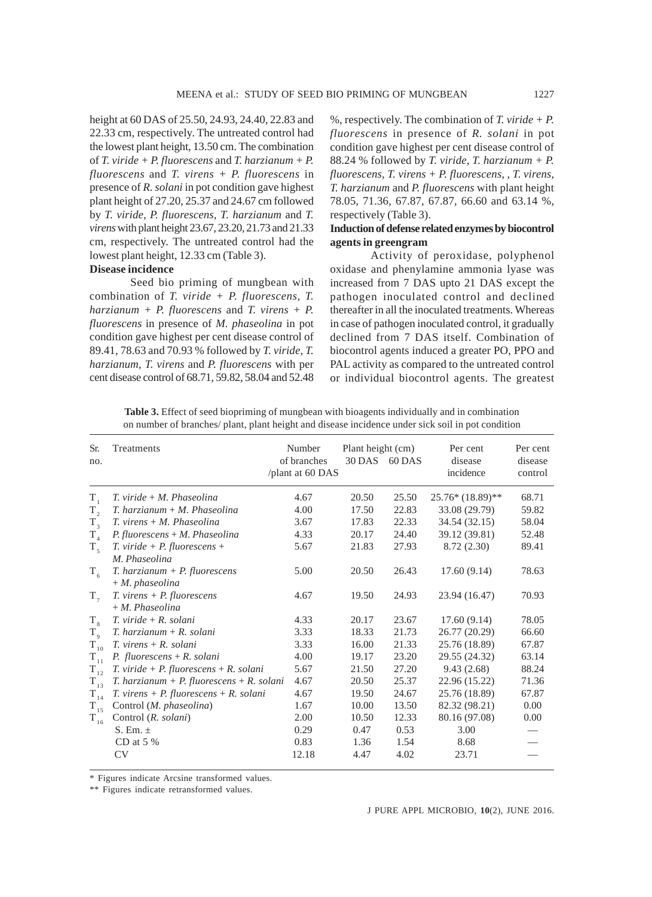height at 60 DAS of 25.50, 24.93, 24.40, 22.83 and 22.33 cm, respectively. The untreated control had the lowest plant height, 13.50 cm. The combination of *T. viride + P. fluorescens* and *T. harzianum + P. fluorescens* and *T. virens + P. fluorescens* in presence of *R. solani* in pot condition gave highest plant height of 27.20, 25.37 and 24.67 cm followed by *T. viride, P. fluorescens, T. harzianum* and *T. virens* with plant height 23.67, 23.20, 21.73 and 21.33 cm, respectively. The untreated control had the lowest plant height, 12.33 cm (Table 3).

#### **Disease incidence**

Seed bio priming of mungbean with combination of *T. viride + P. fluorescens, T. harzianum + P. fluorescens* and *T. virens + P. fluorescens* in presence of *M. phaseolina* in pot condition gave highest per cent disease control of 89.41, 78.63 and 70.93 % followed by *T. viride, T. harzianum, T. virens* and *P. fluorescens* with per cent disease control of 68.71, 59.82, 58.04 and 52.48

%, respectively. The combination of *T. viride + P. fluorescens* in presence of *R. solani* in pot condition gave highest per cent disease control of 88.24 % followed by *T. viride, T. harzianum + P. fluorescens, T. virens + P. fluorescens, , T. virens, T. harzianum* and *P. fluorescens* with plant height 78.05, 71.36, 67.87, 67.87, 66.60 and 63.14 %, respectively (Table 3).

### **Induction of defense related enzymes by biocontrol agents in greengram**

Activity of peroxidase, polyphenol oxidase and phenylamine ammonia lyase was increased from 7 DAS upto 21 DAS except the pathogen inoculated control and declined thereafter in all the inoculated treatments. Whereas in case of pathogen inoculated control, it gradually declined from 7 DAS itself. Combination of biocontrol agents induced a greater PO, PPO and PAL activity as compared to the untreated control or individual biocontrol agents. The greatest

| Sr.<br>no.  | Treatments                                                             | Number<br>of branches<br>/plant at 60 DAS | Plant height (cm)<br>30 DAS 60 DAS |       | Per cent<br>disease<br>incidence | Per cent<br>disease<br>control |
|-------------|------------------------------------------------------------------------|-------------------------------------------|------------------------------------|-------|----------------------------------|--------------------------------|
| $T_{1}$     | $T.$ viride $+ M.$ Phaseolina                                          | 4.67                                      | 20.50                              | 25.50 | 25.76* (18.89)**                 | 68.71                          |
| T,          | $T.$ harzianum + M. Phaseolina                                         | 4.00                                      | 17.50                              | 22.83 | 33.08 (29.79)                    | 59.82                          |
| $T_{3}$     | $T.$ virens $+ M.$ Phaseolina                                          | 3.67                                      | 17.83                              | 22.33 | 34.54 (32.15)                    | 58.04                          |
| $T_{4}$     | $P.$ fluorescens + M. Phaseolina                                       | 4.33                                      | 20.17                              | 24.40 | 39.12 (39.81)                    | 52.48                          |
| $T_{5}$     | $T.$ viride + $P.$ fluorescens +                                       | 5.67                                      | 21.83                              | 27.93 | 8.72(2.30)                       | 89.41                          |
|             | M. Phaseolina                                                          |                                           |                                    |       |                                  |                                |
| $T_{6}$     | $T.$ harzianum + $P.$ fluorescens                                      | 5.00                                      | 20.50                              | 26.43 | 17.60(9.14)                      | 78.63                          |
|             | $+ M. phaseolina$                                                      |                                           |                                    |       |                                  |                                |
| $T_{7}$     | $T. \, \text{virens} + P. \, \text{fluorescens}$                       | 4.67                                      | 19.50                              | 24.93 | 23.94 (16.47)                    | 70.93                          |
|             | $+ M. Phaseolina$                                                      |                                           |                                    |       |                                  |                                |
| $T_{\rm g}$ | $T.$ viride + $R.$ solani                                              | 4.33                                      | 20.17                              | 23.67 | 17.60(9.14)                      | 78.05                          |
| $T_{\rm q}$ | $T.$ harzianum + $R.$ solani                                           | 3.33                                      | 18.33                              | 21.73 | 26.77 (20.29)                    | 66.60                          |
| $T_{10}$    | $T.$ virens + $R.$ solani                                              | 3.33                                      | 16.00                              | 21.33 | 25.76 (18.89)                    | 67.87                          |
| $T_{11}$    | P. fluorescens + R. solani                                             | 4.00                                      | 19.17                              | 23.20 | 29.55 (24.32)                    | 63.14                          |
| $T_{12}$    | $T.$ viride + $P.$ fluorescens + $R.$ solani                           | 5.67                                      | 21.50                              | 27.20 | 9.43(2.68)                       | 88.24                          |
| $T_{13}$    | T. harzianum + P. fluorescens + R. solani                              | 4.67                                      | 20.50                              | 25.37 | 22.96 (15.22)                    | 71.36                          |
| $T_{14}$    | $T. \, \text{virens} + P. \, \text{fluorescens} + R. \, \text{solani}$ | 4.67                                      | 19.50                              | 24.67 | 25.76 (18.89)                    | 67.87                          |
| $T_{15}$    | Control (M. phaseolina)                                                | 1.67                                      | 10.00                              | 13.50 | 82.32 (98.21)                    | 0.00                           |
| $T_{16}$    | Control (R. solani)                                                    | 2.00                                      | 10.50                              | 12.33 | 80.16 (97.08)                    | 0.00                           |
|             | S. Em. $\pm$                                                           | 0.29                                      | 0.47                               | 0.53  | 3.00                             |                                |
|             | CD at $5\%$                                                            | 0.83                                      | 1.36                               | 1.54  | 8.68                             |                                |
|             | <b>CV</b>                                                              | 12.18                                     | 4.47                               | 4.02  | 23.71                            |                                |
|             |                                                                        |                                           |                                    |       |                                  |                                |

**Table 3.** Effect of seed biopriming of mungbean with bioagents individually and in combination on number of branches/ plant, plant height and disease incidence under sick soil in pot condition

\* Figures indicate Arcsine transformed values.

\*\* Figures indicate retransformed values.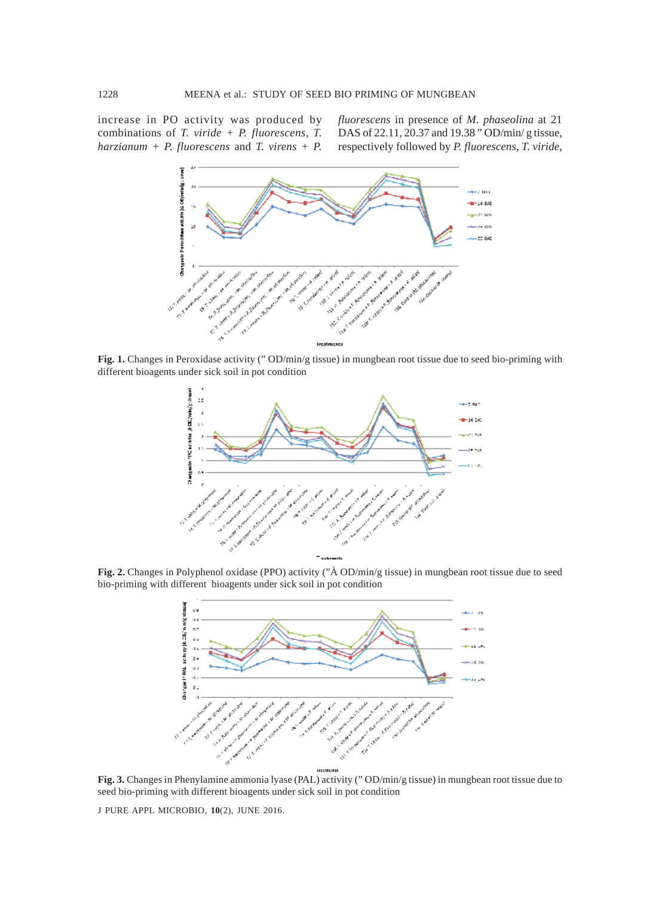increase in PO activity was produced by combinations of *T. viride + P. fluorescens, T. harzianum + P. fluorescens* and *T. virens + P.* *fluorescens* in presence of *M. phaseolina* at 21 DAS of 22.11, 20.37 and 19.38 " OD/min/ g tissue, respectively followed by *P. fluorescens, T. viride,*



**Fig. 1.** Changes in Peroxidase activity (" OD/min/g tissue) in mungbean root tissue due to seed bio-priming with different bioagents under sick soil in pot condition



**Fig. 2.** Changes in Polyphenol oxidase (PPO) activity ("À OD/min/g tissue) in mungbean root tissue due to seed bio-priming with different bioagents under sick soil in pot condition



**Fig. 3.** Changes in Phenylamine ammonia lyase (PAL) activity (" OD/min/g tissue) in mungbean root tissue due to seed bio-priming with different bioagents under sick soil in pot condition

J PURE APPL MICROBIO*,* **10**(2), JUNE 2016.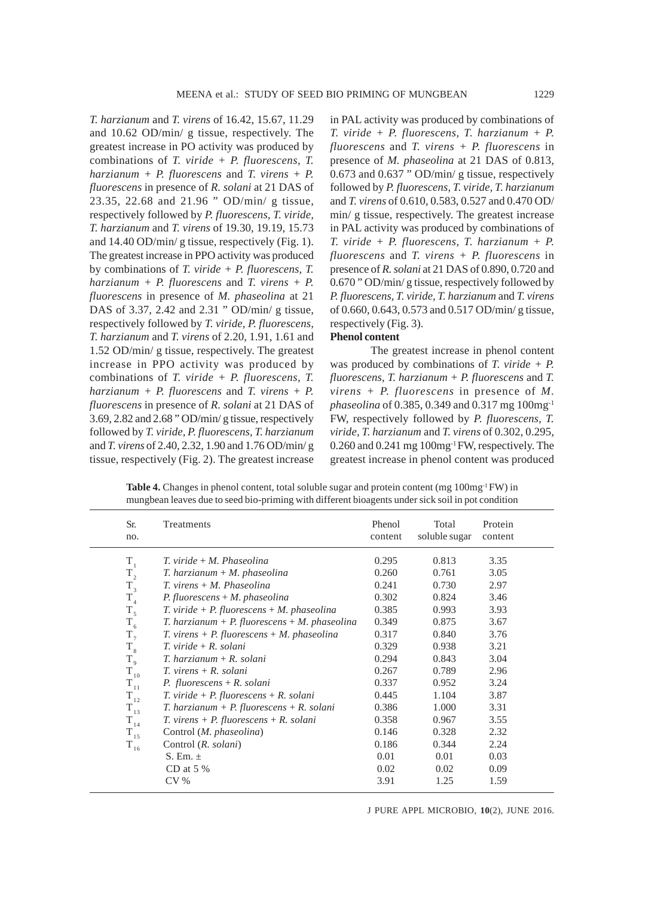*T. harzianum* and *T. virens* of 16.42, 15.67, 11.29 and 10.62 OD/min/ g tissue, respectively. The greatest increase in PO activity was produced by combinations of *T. viride + P. fluorescens, T. harzianum + P. fluorescens* and *T. virens + P. fluorescens* in presence of *R. solani* at 21 DAS of 23.35, 22.68 and 21.96 " OD/min/ g tissue, respectively followed by *P. fluorescens, T. viride, T. harzianum* and *T. virens* of 19.30, 19.19, 15.73 and 14.40 OD/min/ g tissue, respectively (Fig. 1). The greatest increase in PPO activity was produced by combinations of *T. viride + P. fluorescens, T. harzianum + P. fluorescens* and *T. virens + P. fluorescens* in presence of *M. phaseolina* at 21 DAS of 3.37, 2.42 and 2.31 " OD/min/ g tissue, respectively followed by *T. viride, P. fluorescens, T. harzianum* and *T. virens* of 2.20, 1.91, 1.61 and 1.52 OD/min/ g tissue, respectively. The greatest increase in PPO activity was produced by combinations of *T. viride + P. fluorescens, T. harzianum + P. fluorescens* and *T. virens + P. fluorescens* in presence of *R. solani* at 21 DAS of 3.69, 2.82 and 2.68 " OD/min/ g tissue, respectively followed by *T. viride, P. fluorescens, T. harzianum* and *T. virens* of 2.40, 2.32, 1.90 and 1.76 OD/min/ g tissue, respectively (Fig. 2). The greatest increase

in PAL activity was produced by combinations of *T. viride + P. fluorescens, T. harzianum + P. fluorescens* and *T. virens + P. fluorescens* in presence of *M. phaseolina* at 21 DAS of 0.813, 0.673 and 0.637 " OD/min/ g tissue, respectively followed by *P. fluorescens, T. viride, T. harzianum* and *T. virens* of 0.610, 0.583, 0.527 and 0.470 OD/ min/ g tissue, respectively. The greatest increase in PAL activity was produced by combinations of *T. viride + P. fluorescens, T. harzianum + P. fluorescens* and *T. virens + P. fluorescens* in presence of *R. solani* at 21 DAS of 0.890, 0.720 and 0.670 " OD/min/ g tissue, respectively followed by *P. fluorescens, T. viride, T. harzianum* and *T. virens* of 0.660, 0.643, 0.573 and 0.517 OD/min/ g tissue, respectively (Fig. 3).

### **Phenol content**

The greatest increase in phenol content was produced by combinations of *T. viride + P. fluorescens, T. harzianum + P. fluorescens* and *T. virens + P. fluorescens* in presence of *M. phaseolina* of 0.385, 0.349 and 0.317 mg 100mg-1 FW, respectively followed by *P. fluorescens, T. viride, T. harzianum* and *T. virens* of 0.302, 0.295, 0.260 and 0.241 mg 100mg-1 FW, respectively. The greatest increase in phenol content was produced

**Table 4.** Changes in phenol content, total soluble sugar and protein content (mg 100mg<sup>-1</sup> FW) in mungbean leaves due to seed bio-priming with different bioagents under sick soil in pot condition

| Sr.<br>no.   | Treatments                                                             | Phenol<br>content | Total<br>soluble sugar | Protein<br>content |
|--------------|------------------------------------------------------------------------|-------------------|------------------------|--------------------|
| $T_{1}$      | $T.$ viride $+ M.$ Phaseolina                                          | 0.295             | 0.813                  | 3.35               |
| $T_{2}$      | $T.$ harzianum + M. phaseolina                                         | 0.260             | 0.761                  | 3.05               |
| $T_{3}$      | $T.$ virens $+ M.$ Phaseolina                                          | 0.241             | 0.730                  | 2.97               |
| $\rm T_{_4}$ | $P.$ fluorescens + M. phaseolina                                       | 0.302             | 0.824                  | 3.46               |
| $T_{5}$      | $T.$ viride + $P.$ fluorescens + $M.$ phaseolina                       | 0.385             | 0.993                  | 3.93               |
| $T_{6}$      | $T.$ harzianum + $P.$ fluorescens + $M.$ phaseolina                    | 0.349             | 0.875                  | 3.67               |
| $T_{7}$      | $T.$ virens + $P.$ fluorescens + $M.$ phaseolina                       | 0.317             | 0.840                  | 3.76               |
| $T_{\rm 8}$  | $T.$ viride + $R.$ solani                                              | 0.329             | 0.938                  | 3.21               |
| $T_{\rm g}$  | $T.$ harzianum + R. solani                                             | 0.294             | 0.843                  | 3.04               |
| $T_{10}$     | $T.$ virens + R. solani                                                | 0.267             | 0.789                  | 2.96               |
| $\rm T_{11}$ | P. fluorescens $+ R$ . solani                                          | 0.337             | 0.952                  | 3.24               |
| $T_{12}$     | $T.$ viride + $P.$ fluorescens + $R.$ solani                           | 0.445             | 1.104                  | 3.87               |
| $T_{13}$     | $T.$ harzianum + $P.$ fluorescens + $R.$ solani                        | 0.386             | 1.000                  | 3.31               |
| $T_{14}$     | $T. \, \text{virens} + P. \, \text{fluorescens} + R. \, \text{solani}$ | 0.358             | 0.967                  | 3.55               |
| $T_{15}$     | Control (M. phaseolina)                                                | 0.146             | 0.328                  | 2.32               |
| $T_{16}$     | Control (R. solani)                                                    | 0.186             | 0.344                  | 2.24               |
|              | S. Em. $\pm$                                                           | 0.01              | 0.01                   | 0.03               |
|              | CD at $5\%$                                                            | 0.02              | 0.02                   | 0.09               |
|              | $CV\%$                                                                 | 3.91              | 1.25                   | 1.59               |
|              |                                                                        |                   |                        |                    |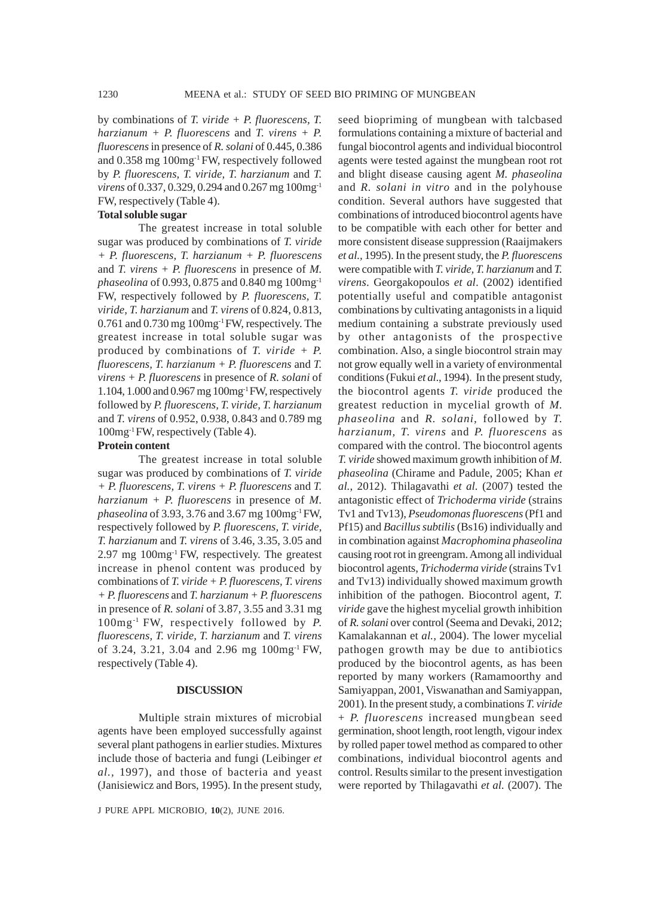by combinations of *T. viride + P. fluorescens, T. harzianum + P. fluorescens* and *T. virens + P. fluorescens* in presence of *R. solani* of 0.445, 0.386 and 0.358 mg 100mg-1 FW, respectively followed by *P. fluorescens, T. viride, T. harzianum* and *T. virens* of 0.337, 0.329, 0.294 and 0.267 mg 100mg-1 FW, respectively (Table 4).

#### **Total soluble sugar**

The greatest increase in total soluble sugar was produced by combinations of *T. viride + P. fluorescens, T. harzianum + P. fluorescens* and *T. virens + P. fluorescens* in presence of *M. phaseolina* of 0.993, 0.875 and 0.840 mg 100mg-1 FW, respectively followed by *P. fluorescens, T. viride, T. harzianum* and *T. virens* of 0.824, 0.813, 0.761 and 0.730 mg 100mg-1 FW, respectively. The greatest increase in total soluble sugar was produced by combinations of *T. viride + P. fluorescens, T. harzianum + P. fluorescens* and *T. virens + P. fluorescens* in presence of *R. solani* of 1.104, 1.000 and 0.967 mg 100mg-1 FW, respectively followed by *P. fluorescens, T. viride, T. harzianum* and *T. virens* of 0.952, 0.938, 0.843 and 0.789 mg 100mg-1 FW, respectively (Table 4).

#### **Protein content**

The greatest increase in total soluble sugar was produced by combinations of *T. viride + P. fluorescens, T. virens + P. fluorescens* and *T. harzianum + P. fluorescens* in presence of *M. phaseolina* of 3.93, 3.76 and 3.67 mg 100mg-1 FW, respectively followed by *P. fluorescens, T. viride, T. harzianum* and *T. virens* of 3.46, 3.35, 3.05 and 2.97 mg 100mg-1 FW, respectively. The greatest increase in phenol content was produced by combinations of *T. viride + P. fluorescens, T. virens + P. fluorescens* and *T. harzianum + P. fluorescens* in presence of *R. solani* of 3.87, 3.55 and 3.31 mg 100mg-1 FW, respectively followed by *P. fluorescens, T. viride, T. harzianum* and *T. virens* of 3.24, 3.21, 3.04 and 2.96 mg 100mg-1 FW, respectively (Table 4).

#### **DISCUSSION**

Multiple strain mixtures of microbial agents have been employed successfully against several plant pathogens in earlier studies. Mixtures include those of bacteria and fungi (Leibinger *et al.,* 1997), and those of bacteria and yeast (Janisiewicz and Bors, 1995). In the present study,

J PURE APPL MICROBIO*,* **10**(2), JUNE 2016.

seed biopriming of mungbean with talcbased formulations containing a mixture of bacterial and fungal biocontrol agents and individual biocontrol agents were tested against the mungbean root rot and blight disease causing agent *M. phaseolina* and *R. solani in vitro* and in the polyhouse condition. Several authors have suggested that combinations of introduced biocontrol agents have to be compatible with each other for better and more consistent disease suppression (Raaijmakers *et al.,* 1995). In the present study, the *P. fluorescens* were compatible with *T. viride, T. harzianum* and *T. virens*. Georgakopoulos *et al*. (2002) identified potentially useful and compatible antagonist combinations by cultivating antagonists in a liquid medium containing a substrate previously used by other antagonists of the prospective combination. Also, a single biocontrol strain may not grow equally well in a variety of environmental conditions (Fukui *et al*., 1994). In the present study, the biocontrol agents *T. viride* produced the greatest reduction in mycelial growth of *M. phaseolina* and *R. solani*, followed by *T. harzianum, T. virens* and *P. fluorescens* as compared with the control. The biocontrol agents *T. viride* showed maximum growth inhibition of *M. phaseolina* (Chirame and Padule, 2005; Khan *et al.*, 2012). Thilagavathi *et al.* (2007) tested the antagonistic effect of *Trichoderma viride* (strains Tv1 and Tv13), *Pseudomonas fluorescens* (Pf1 and Pf15) and *Bacillus subtilis* (Bs16) individually and in combination against *Macrophomina phaseolina* causing root rot in greengram. Among all individual biocontrol agents, *Trichoderma viride* (strains Tv1 and Tv13) individually showed maximum growth inhibition of the pathogen. Biocontrol agent, *T. viride* gave the highest mycelial growth inhibition of *R. solani* over control (Seema and Devaki, 2012; Kamalakannan et *al.,* 2004). The lower mycelial pathogen growth may be due to antibiotics produced by the biocontrol agents, as has been reported by many workers (Ramamoorthy and Samiyappan, 2001, Viswanathan and Samiyappan, 2001). In the present study, a combinations *T. viride* + *P. fluorescens* increased mungbean seed germination, shoot length, root length, vigour index by rolled paper towel method as compared to other combinations, individual biocontrol agents and control. Results similar to the present investigation were reported by Thilagavathi *et al.* (2007). The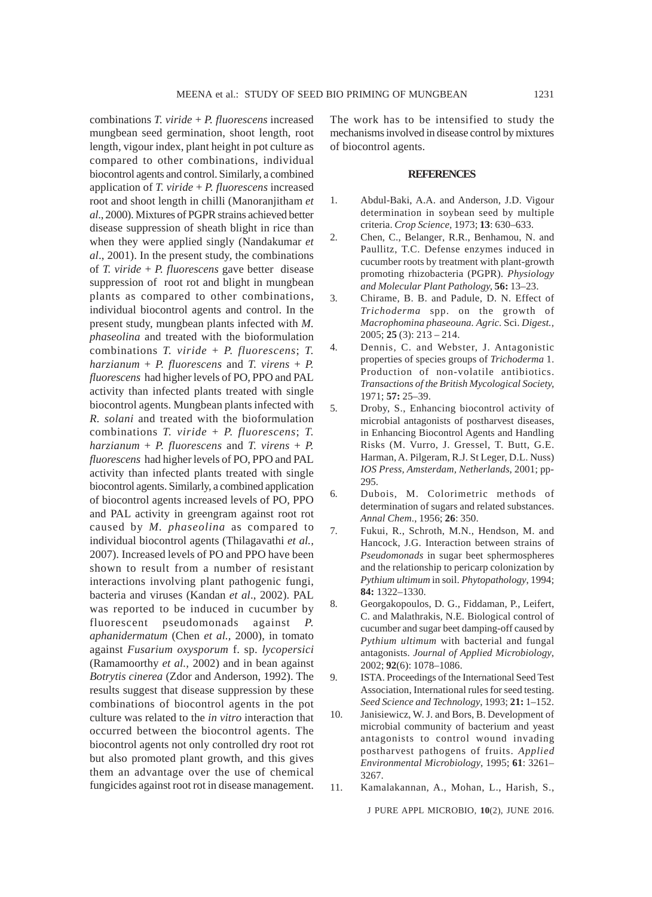combinations *T. viride* + *P. fluorescens* increased mungbean seed germination, shoot length, root length, vigour index, plant height in pot culture as compared to other combinations, individual biocontrol agents and control. Similarly, a combined application of *T. viride* + *P. fluorescens* increased root and shoot length in chilli (Manoranjitham *et al*., 2000). Mixtures of PGPR strains achieved better disease suppression of sheath blight in rice than when they were applied singly (Nandakumar *et al*., 2001). In the present study, the combinations of *T. viride* + *P. fluorescens* gave better disease suppression of root rot and blight in mungbean plants as compared to other combinations, individual biocontrol agents and control. In the present study, mungbean plants infected with *M. phaseolina* and treated with the bioformulation combinations *T. viride* + *P. fluorescens*; *T.*  $hargianum + P.$  *fluorescens* and *T. virens* + *P. fluorescens* had higher levels of PO, PPO and PAL activity than infected plants treated with single biocontrol agents. Mungbean plants infected with *R. solani* and treated with the bioformulation combinations *T. viride* + *P. fluorescens*; *T.*  $harzianum + P.$  *fluorescens* and *T. virens* + *P. fluorescens* had higher levels of PO, PPO and PAL activity than infected plants treated with single biocontrol agents. Similarly, a combined application of biocontrol agents increased levels of PO, PPO and PAL activity in greengram against root rot caused by *M. phaseolina* as compared to individual biocontrol agents (Thilagavathi *et al.,* 2007)*.* Increased levels of PO and PPO have been shown to result from a number of resistant interactions involving plant pathogenic fungi, bacteria and viruses (Kandan *et al*., 2002). PAL was reported to be induced in cucumber by fluorescent pseudomonads against *P. aphanidermatum* (Chen *et al.,* 2000), in tomato against *Fusarium oxysporum* f. sp. *lycopersici* (Ramamoorthy *et al.,* 2002) and in bean against *Botrytis cinerea* (Zdor and Anderson, 1992). The results suggest that disease suppression by these combinations of biocontrol agents in the pot culture was related to the *in vitro* interaction that occurred between the biocontrol agents. The biocontrol agents not only controlled dry root rot but also promoted plant growth, and this gives them an advantage over the use of chemical fungicides against root rot in disease management.

The work has to be intensified to study the mechanisms involved in disease control by mixtures of biocontrol agents.

#### **REFERENCES**

- 1. Abdul-Baki, A.A. and Anderson, J.D. Vigour determination in soybean seed by multiple criteria. *Crop Science,* 1973; **13**: 630–633.
- 2. Chen, C., Belanger, R.R., Benhamou, N. and Paullitz, T.C. Defense enzymes induced in cucumber roots by treatment with plant-growth promoting rhizobacteria (PGPR). *Physiology and Molecular Plant Pathology,* **56:** 13–23.
- 3. Chirame, B. B. and Padule, D. N. Effect of *Trichoderma* spp. on the growth of *Macrophomina phaseouna. Agric.* Sci. *Digest.,* 2005; **25** (3): 213 – 214.
- 4. Dennis, C. and Webster, J. Antagonistic properties of species groups of *Trichoderma* 1. Production of non-volatile antibiotics. *Transactions of the British Mycological Society,* 1971; **57:** 25–39.
- 5. Droby, S., Enhancing biocontrol activity of microbial antagonists of postharvest diseases, in Enhancing Biocontrol Agents and Handling Risks (M. Vurro, J. Gressel, T. Butt, G.E. Harman, A. Pilgeram, R.J. St Leger, D.L. Nuss) *IOS Press, Amsterdam, Netherlands*, 2001; pp-295.
- 6. Dubois, M. Colorimetric methods of determination of sugars and related substances. *Annal Chem*., 1956; **26**: 350.
- 7. Fukui, R., Schroth, M.N., Hendson, M. and Hancock, J.G. Interaction between strains of *Pseudomonads* in sugar beet sphermospheres and the relationship to pericarp colonization by *Pythium ultimum* in soil. *Phytopathology*, 1994; **84:** 1322–1330.
- 8. Georgakopoulos, D. G., Fiddaman, P., Leifert, C. and Malathrakis, N.E. Biological control of cucumber and sugar beet damping-off caused by *Pythium ultimum* with bacterial and fungal antagonists. *Journal of Applied Microbiology*, 2002; **92**(6): 1078–1086.
- 9. ISTA. Proceedings of the International Seed Test Association, International rules for seed testing. *Seed Science and Technology*, 1993; **21:** 1–152.
- 10. Janisiewicz, W. J. and Bors, B. Development of microbial community of bacterium and yeast antagonists to control wound invading postharvest pathogens of fruits. *Applied Environmental Microbiology*, 1995; **61**: 3261– 3267.
- 11. Kamalakannan, A., Mohan, L., Harish, S.,

J PURE APPL MICROBIO*,* **10**(2), JUNE 2016.